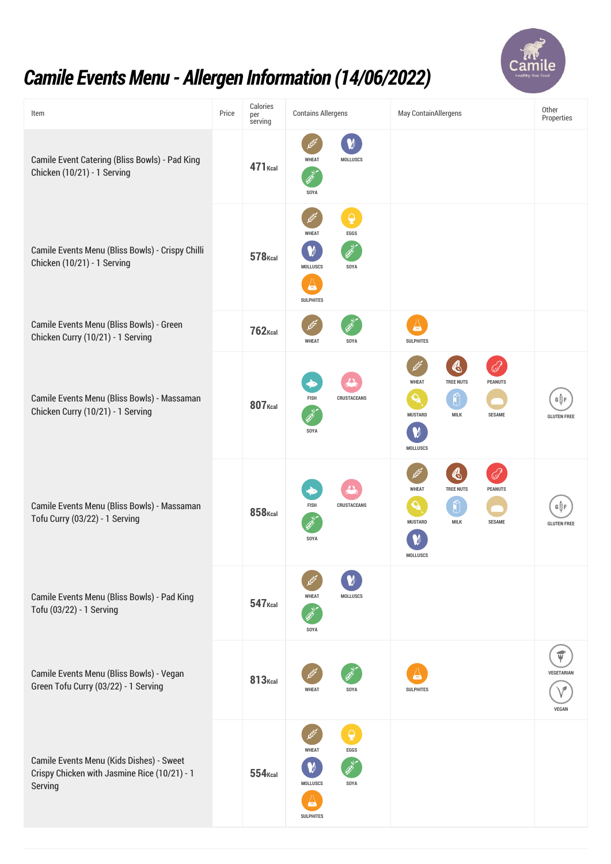

## *Camile EventsMenu - Allergen Information (14/06/2022)*

| Item                                                                                                | Price | Calories<br>per<br>serving | <b>Contains Allergens</b>                                                                                                                   | <b>May ContainAllergens</b>                                                                                                                                            | Other<br>Properties               |
|-----------------------------------------------------------------------------------------------------|-------|----------------------------|---------------------------------------------------------------------------------------------------------------------------------------------|------------------------------------------------------------------------------------------------------------------------------------------------------------------------|-----------------------------------|
| <b>Camile Event Catering (Bliss Bowls) - Pad King</b><br>Chicken (10/21) - 1 Serving                |       | <b>471</b> Kcal            | <b>WHEAT</b><br><b>MOLLUSCS</b><br>SOYA                                                                                                     |                                                                                                                                                                        |                                   |
| Camile Events Menu (Bliss Bowls) - Crispy Chilli<br>Chicken (10/21) - 1 Serving                     |       | <b>578</b> Kcal            | $\overline{\mathsf{Q}}$<br>啤<br><b>WHEAT</b><br>EGGS<br>$\boldsymbol{\mathsf{W}}$<br><b>MOLLUSCS</b><br>SOYA<br>$s_{0}$<br><b>SULPHITES</b> |                                                                                                                                                                        |                                   |
| Camile Events Menu (Bliss Bowls) - Green<br>Chicken Curry (10/21) - 1 Serving                       |       | $762$ <sub>Kcal</sub>      | ييما<br><b>WHEAT</b><br>SOYA                                                                                                                | A<br><b>SULPHITES</b>                                                                                                                                                  |                                   |
| Camile Events Menu (Bliss Bowls) - Massaman<br>Chicken Curry (10/21) - 1 Serving                    |       | <b>807</b> Kcal            | <b>FISH</b><br><b>CRUSTACEANS</b><br>SOYA                                                                                                   | S<br>فيليما<br><b>WHEAT</b><br><b>TREE NUTS</b><br><b>PEANUTS</b><br>$\mathbf{Q}_\mathbf{A}$<br>Û<br><b>MILK</b><br><b>MUSTARD</b><br><b>SESAME</b><br><b>MOLLUSCS</b> | GŠF<br><b>GLUTEN FREE</b>         |
| Camile Events Menu (Bliss Bowls) - Massaman<br>Tofu Curry (03/22) - 1 Serving                       |       | $858$ <sub>Kcal</sub>      | <b>CRUSTACEANS</b><br><b>FISH</b><br>SOYA                                                                                                   | تخييما<br>$\clubsuit$<br>فرنيج<br><b>TREE NUTS</b><br><b>WHEAT</b><br><b>PEANUTS</b><br>Q,<br><b>MUSTARD</b><br><b>MILK</b><br><b>SESAME</b><br><b>MOLLUSCS</b>        | G∛F<br><b>GLUTEN FREE</b>         |
| Camile Events Menu (Bliss Bowls) - Pad King<br>Tofu (03/22) - 1 Serving                             |       | 547 <sub>Kcal</sub>        | <b>WHEAT</b><br><b>MOLLUSCS</b><br>SOYA                                                                                                     |                                                                                                                                                                        |                                   |
| Camile Events Menu (Bliss Bowls) - Vegan<br>Green Tofu Curry (03/22) - 1 Serving                    |       | <b>813</b> Kcal            | <b>WHEAT</b><br>SOYA                                                                                                                        | <b>SULPHITES</b>                                                                                                                                                       | <b>VEGETARIAN</b><br><b>VEGAN</b> |
| Camile Events Menu (Kids Dishes) - Sweet<br>Crispy Chicken with Jasmine Rice (10/21) - 1<br>Serving |       | $554$ <sub>Kcal</sub>      | △<br><b>WHEAT</b><br>EGGS<br>M<br><b>MOLLUSCS</b><br>SOYA<br>50 <sub>2</sub><br><b>SULPHITES</b>                                            |                                                                                                                                                                        |                                   |